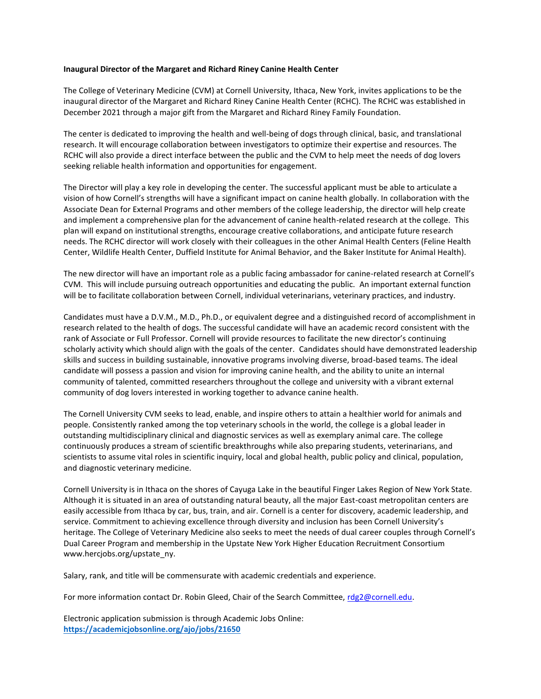## **Inaugural Director of the Margaret and Richard Riney Canine Health Center**

The College of Veterinary Medicine (CVM) at Cornell University, Ithaca, New York, invites applications to be the inaugural director of the Margaret and Richard Riney Canine Health Center (RCHC). The RCHC was established in December 2021 through a major gift from the Margaret and Richard Riney Family Foundation.

The center is dedicated to improving the health and well-being of dogs through clinical, basic, and translational research. It will encourage collaboration between investigators to optimize their expertise and resources. The RCHC will also provide a direct interface between the public and the CVM to help meet the needs of dog lovers seeking reliable health information and opportunities for engagement.

The Director will play a key role in developing the center. The successful applicant must be able to articulate a vision of how Cornell's strengths will have a significant impact on canine health globally. In collaboration with the Associate Dean for External Programs and other members of the college leadership, the director will help create and implement a comprehensive plan for the advancement of canine health-related research at the college. This plan will expand on institutional strengths, encourage creative collaborations, and anticipate future research needs. The RCHC director will work closely with their colleagues in the other Animal Health Centers (Feline Health Center, Wildlife Health Center, Duffield Institute for Animal Behavior, and the Baker Institute for Animal Health).

The new director will have an important role as a public facing ambassador for canine-related research at Cornell's CVM. This will include pursuing outreach opportunities and educating the public. An important external function will be to facilitate collaboration between Cornell, individual veterinarians, veterinary practices, and industry.

Candidates must have a D.V.M., M.D., Ph.D., or equivalent degree and a distinguished record of accomplishment in research related to the health of dogs. The successful candidate will have an academic record consistent with the rank of Associate or Full Professor. Cornell will provide resources to facilitate the new director's continuing scholarly activity which should align with the goals of the center. Candidates should have demonstrated leadership skills and success in building sustainable, innovative programs involving diverse, broad-based teams. The ideal candidate will possess a passion and vision for improving canine health, and the ability to unite an internal community of talented, committed researchers throughout the college and university with a vibrant external community of dog lovers interested in working together to advance canine health.

The Cornell University CVM seeks to lead, enable, and inspire others to attain a healthier world for animals and people. Consistently ranked among the top veterinary schools in the world, the college is a global leader in outstanding multidisciplinary clinical and diagnostic services as well as exemplary animal care. The college continuously produces a stream of scientific breakthroughs while also preparing students, veterinarians, and scientists to assume vital roles in scientific inquiry, local and global health, public policy and clinical, population, and diagnostic veterinary medicine.

Cornell University is in Ithaca on the shores of Cayuga Lake in the beautiful Finger Lakes Region of New York State. Although it is situated in an area of outstanding natural beauty, all the major East-coast metropolitan centers are easily accessible from Ithaca by car, bus, train, and air. Cornell is a center for discovery, academic leadership, and service. Commitment to achieving excellence through diversity and inclusion has been Cornell University's heritage. The College of Veterinary Medicine also seeks to meet the needs of dual career couples through Cornell's Dual Career Program and membership in the Upstate New York Higher Education Recruitment Consortium www.hercjobs.org/upstate\_ny.

Salary, rank, and title will be commensurate with academic credentials and experience.

For more information contact Dr. Robin Gleed, Chair of the Search Committee, [rdg2@cornell.edu.](mailto:rdg2@cornell.edu)

Electronic application submission is through Academic Jobs Online: **<https://academicjobsonline.org/ajo/jobs/21650>**